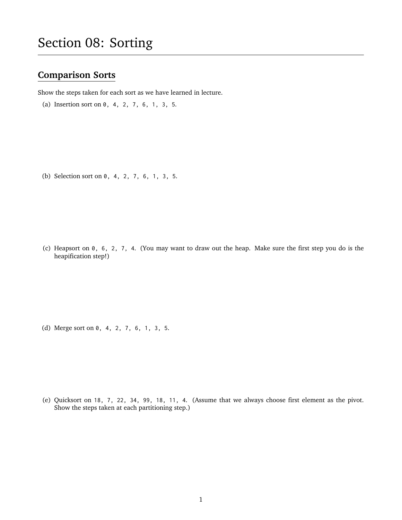## **Comparison Sorts**

Show the steps taken for each sort as we have learned in lecture.

(a) Insertion sort on 0, 4, 2, 7, 6, 1, 3, 5.

(b) Selection sort on 0, 4, 2, 7, 6, 1, 3, 5.

(c) Heapsort on 0, 6, 2, 7, 4. (You may want to draw out the heap. Make sure the first step you do is the heapification step!)

(d) Merge sort on 0, 4, 2, 7, 6, 1, 3, 5.

(e) Quicksort on 18, 7, 22, 34, 99, 18, 11, 4. (Assume that we always choose first element as the pivot. Show the steps taken at each partitioning step.)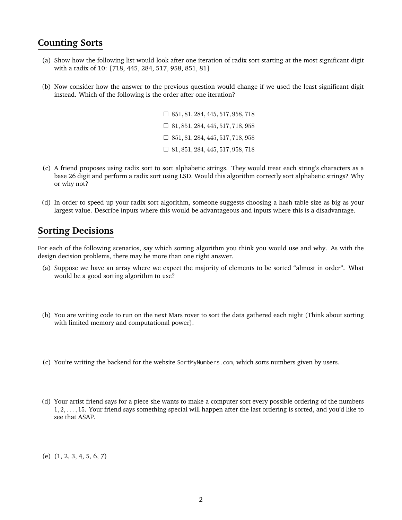## **Counting Sorts**

- (a) Show how the following list would look after one iteration of radix sort starting at the most significant digit with a radix of 10: [718, 445, 284, 517, 958, 851, 81]
- (b) Now consider how the answer to the previous question would change if we used the least significant digit instead. Which of the following is the order after one iteration?

 $\Box$  851, 81, 284, 445, 517, 958, 718  $\Box$  81, 851, 284, 445, 517, 718, 958  $\Box$  851, 81, 284, 445, 517, 718, 958  $\Box$  81, 851, 284, 445, 517, 958, 718

- (c) A friend proposes using radix sort to sort alphabetic strings. They would treat each string's characters as a base 26 digit and perform a radix sort using LSD. Would this algorithm correctly sort alphabetic strings? Why or why not?
- (d) In order to speed up your radix sort algorithm, someone suggests choosing a hash table size as big as your largest value. Describe inputs where this would be advantageous and inputs where this is a disadvantage.

## **Sorting Decisions**

For each of the following scenarios, say which sorting algorithm you think you would use and why. As with the design decision problems, there may be more than one right answer.

- (a) Suppose we have an array where we expect the majority of elements to be sorted "almost in order". What would be a good sorting algorithm to use?
- (b) You are writing code to run on the next Mars rover to sort the data gathered each night (Think about sorting with limited memory and computational power).
- (c) You're writing the backend for the website SortMyNumbers.com, which sorts numbers given by users.
- (d) Your artist friend says for a piece she wants to make a computer sort every possible ordering of the numbers 1, 2, . . . , 15. Your friend says something special will happen after the last ordering is sorted, and you'd like to see that ASAP.

(e) (1, 2, 3, 4, 5, 6, 7)